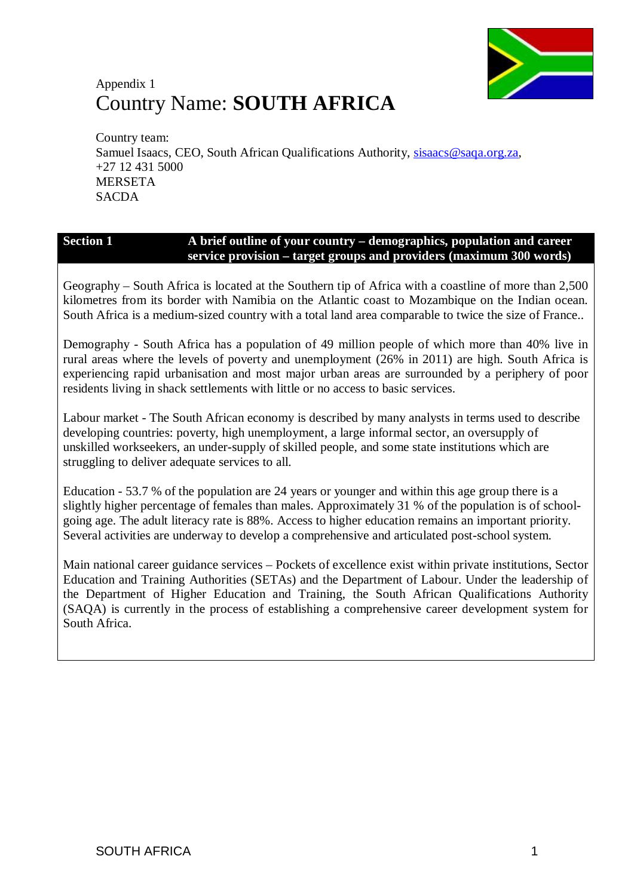

# Appendix 1 Country Name: **SOUTH AFRICA**

Country team: Samuel Isaacs, CEO, South African Qualifications Authority, [sisaacs@saqa.org.za,](mailto:sisaacs@saqa.org.za) +27 12 431 5000 MERSETA **SACDA** 

#### **Section 1 A brief outline of your country – demographics, population and career service provision – target groups and providers (maximum 300 words)**

Geography – South Africa is located at the Southern tip of Africa with a coastline of more than 2,500 kilometres from its border with Namibia on the Atlantic coast to Mozambique on the Indian ocean. South Africa is a medium-sized country with a total land area comparable to twice the size of France..

Demography - South Africa has a population of 49 million people of which more than 40% live in rural areas where the levels of poverty and unemployment (26% in 2011) are high. South Africa is experiencing rapid urbanisation and most major urban areas are surrounded by a periphery of poor residents living in shack settlements with little or no access to basic services.

Labour market - The South African economy is described by many analysts in terms used to describe developing countries: poverty, high unemployment, a large informal sector, an oversupply of unskilled workseekers, an under-supply of skilled people, and some state institutions which are struggling to deliver adequate services to all.

Education - 53.7 % of the population are 24 years or younger and within this age group there is a slightly higher percentage of females than males. Approximately 31 % of the population is of schoolgoing age. The adult literacy rate is 88%. Access to higher education remains an important priority. Several activities are underway to develop a comprehensive and articulated post-school system.

Main national career guidance services – Pockets of excellence exist within private institutions, Sector Education and Training Authorities (SETAs) and the Department of Labour. Under the leadership of the Department of Higher Education and Training, the South African Qualifications Authority (SAQA) is currently in the process of establishing a comprehensive career development system for South Africa.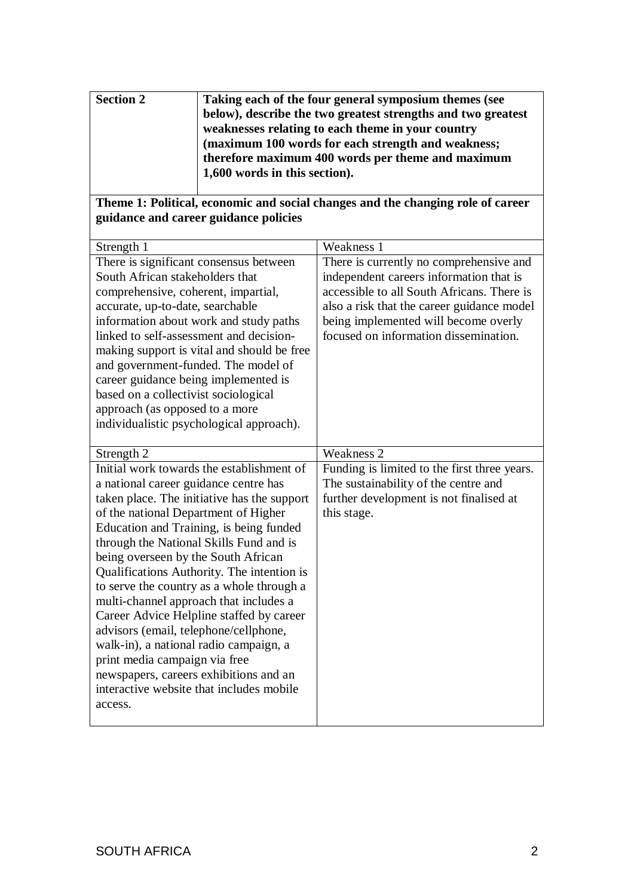| <b>Section 2</b> | Taking each of the four general symposium themes (see        |
|------------------|--------------------------------------------------------------|
|                  | below), describe the two greatest strengths and two greatest |
|                  | weaknesses relating to each theme in your country            |
|                  | (maximum 100 words for each strength and weakness;           |
|                  | therefore maximum 400 words per theme and maximum            |
|                  | 1,600 words in this section).                                |
|                  |                                                              |

### **Theme 1: Political, economic and social changes and the changing role of career guidance and career guidance policies**

| Strength 1                                  | Weakness 1                                   |
|---------------------------------------------|----------------------------------------------|
| There is significant consensus between      | There is currently no comprehensive and      |
| South African stakeholders that             | independent careers information that is      |
| comprehensive, coherent, impartial,         | accessible to all South Africans. There is   |
| accurate, up-to-date, searchable            | also a risk that the career guidance model   |
| information about work and study paths      | being implemented will become overly         |
| linked to self-assessment and decision-     | focused on information dissemination.        |
| making support is vital and should be free  |                                              |
| and government-funded. The model of         |                                              |
| career guidance being implemented is        |                                              |
| based on a collectivist sociological        |                                              |
| approach (as opposed to a more              |                                              |
| individualistic psychological approach).    |                                              |
|                                             |                                              |
| Strength 2                                  | <b>Weakness 2</b>                            |
| Initial work towards the establishment of   | Funding is limited to the first three years. |
| a national career guidance centre has       | The sustainability of the centre and         |
| taken place. The initiative has the support | further development is not finalised at      |
| of the national Department of Higher        | this stage.                                  |
| Education and Training, is being funded     |                                              |
| through the National Skills Fund and is     |                                              |
| being overseen by the South African         |                                              |
| Qualifications Authority. The intention is  |                                              |
| to serve the country as a whole through a   |                                              |
| multi-channel approach that includes a      |                                              |
| Career Advice Helpline staffed by career    |                                              |
| advisors (email, telephone/cellphone,       |                                              |
| walk-in), a national radio campaign, a      |                                              |
| print media campaign via free               |                                              |
| newspapers, careers exhibitions and an      |                                              |
| interactive website that includes mobile    |                                              |
| access.                                     |                                              |
|                                             |                                              |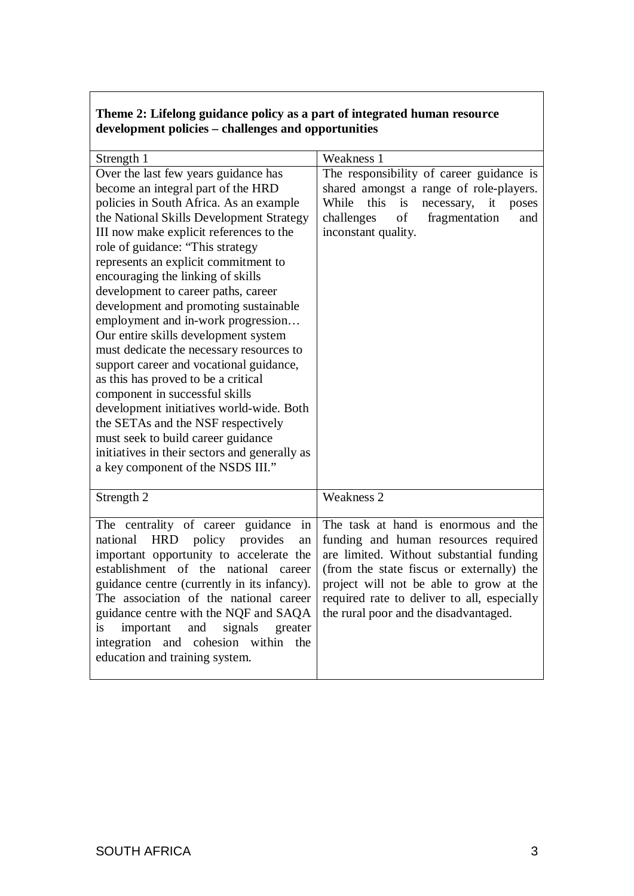### **Theme 2: Lifelong guidance policy as a part of integrated human resource development policies – challenges and opportunities**

| Strength 1                                                                                                                                                                                                                                                                                                                                                                                                                                                                                                                                                                                                                                                                                                                                                                                                                                                                | Weakness 1                                                                                                                                                                                                                                                                                               |
|---------------------------------------------------------------------------------------------------------------------------------------------------------------------------------------------------------------------------------------------------------------------------------------------------------------------------------------------------------------------------------------------------------------------------------------------------------------------------------------------------------------------------------------------------------------------------------------------------------------------------------------------------------------------------------------------------------------------------------------------------------------------------------------------------------------------------------------------------------------------------|----------------------------------------------------------------------------------------------------------------------------------------------------------------------------------------------------------------------------------------------------------------------------------------------------------|
| Over the last few years guidance has<br>become an integral part of the HRD<br>policies in South Africa. As an example<br>the National Skills Development Strategy<br>III now make explicit references to the<br>role of guidance: "This strategy<br>represents an explicit commitment to<br>encouraging the linking of skills<br>development to career paths, career<br>development and promoting sustainable<br>employment and in-work progression<br>Our entire skills development system<br>must dedicate the necessary resources to<br>support career and vocational guidance,<br>as this has proved to be a critical<br>component in successful skills<br>development initiatives world-wide. Both<br>the SETAs and the NSF respectively<br>must seek to build career guidance<br>initiatives in their sectors and generally as<br>a key component of the NSDS III." | The responsibility of career guidance is<br>shared amongst a range of role-players.<br>While<br>this<br>is<br>necessary,<br>it<br>poses<br>of<br>challenges<br>fragmentation<br>and<br>inconstant quality.                                                                                               |
| Strength 2                                                                                                                                                                                                                                                                                                                                                                                                                                                                                                                                                                                                                                                                                                                                                                                                                                                                | <b>Weakness 2</b>                                                                                                                                                                                                                                                                                        |
| The centrality of career guidance<br>in<br><b>HRD</b><br>national<br>policy provides<br>an<br>important opportunity to accelerate the<br>establishment of the national<br>career<br>guidance centre (currently in its infancy).<br>The association of the national career<br>guidance centre with the NQF and SAQA<br>and<br>signals<br>is<br>important<br>greater<br>and cohesion within<br>integration<br>the<br>education and training system.                                                                                                                                                                                                                                                                                                                                                                                                                         | The task at hand is enormous and the<br>funding and human resources required<br>are limited. Without substantial funding<br>(from the state fiscus or externally) the<br>project will not be able to grow at the<br>required rate to deliver to all, especially<br>the rural poor and the disadvantaged. |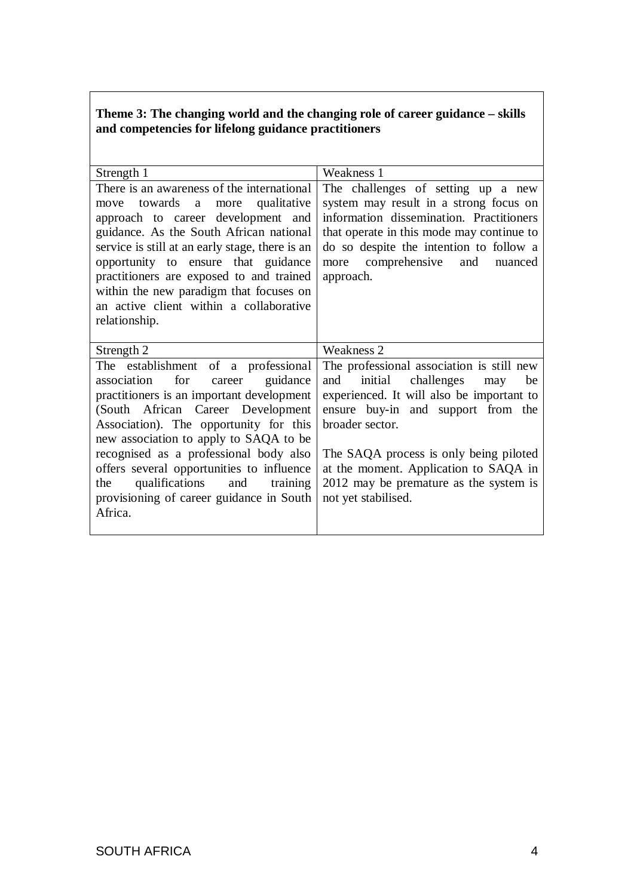#### **Theme 3: The changing world and the changing role of career guidance – skills and competencies for lifelong guidance practitioners**

| Strength 1                                                                                                                                                                                                                                                                                                                                                                                                                                | Weakness 1                                                                                                                                                                                                                                                                                                                                 |  |  |
|-------------------------------------------------------------------------------------------------------------------------------------------------------------------------------------------------------------------------------------------------------------------------------------------------------------------------------------------------------------------------------------------------------------------------------------------|--------------------------------------------------------------------------------------------------------------------------------------------------------------------------------------------------------------------------------------------------------------------------------------------------------------------------------------------|--|--|
| There is an awareness of the international<br>move towards a more qualitative<br>approach to career development and<br>guidance. As the South African national<br>service is still at an early stage, there is an<br>opportunity to ensure that guidance<br>practitioners are exposed to and trained<br>within the new paradigm that focuses on<br>an active client within a collaborative<br>relationship.                               | The challenges of setting up a new<br>system may result in a strong focus on<br>information dissemination. Practitioners<br>that operate in this mode may continue to<br>do so despite the intention to follow a<br>comprehensive<br>and<br>more<br>nuanced<br>approach.                                                                   |  |  |
| Strength 2                                                                                                                                                                                                                                                                                                                                                                                                                                | Weakness 2                                                                                                                                                                                                                                                                                                                                 |  |  |
| The establishment of a professional<br>association for<br>guidance<br>career<br>practitioners is an important development<br>(South African Career Development<br>Association). The opportunity for this<br>new association to apply to SAQA to be<br>recognised as a professional body also<br>offers several opportunities to influence<br>qualifications and<br>the<br>training<br>provisioning of career guidance in South<br>Africa. | The professional association is still new<br>initial challenges may<br>and<br>be<br>experienced. It will also be important to<br>ensure buy-in and support from the<br>broader sector.<br>The SAQA process is only being piloted<br>at the moment. Application to SAQA in<br>2012 may be premature as the system is<br>not yet stabilised. |  |  |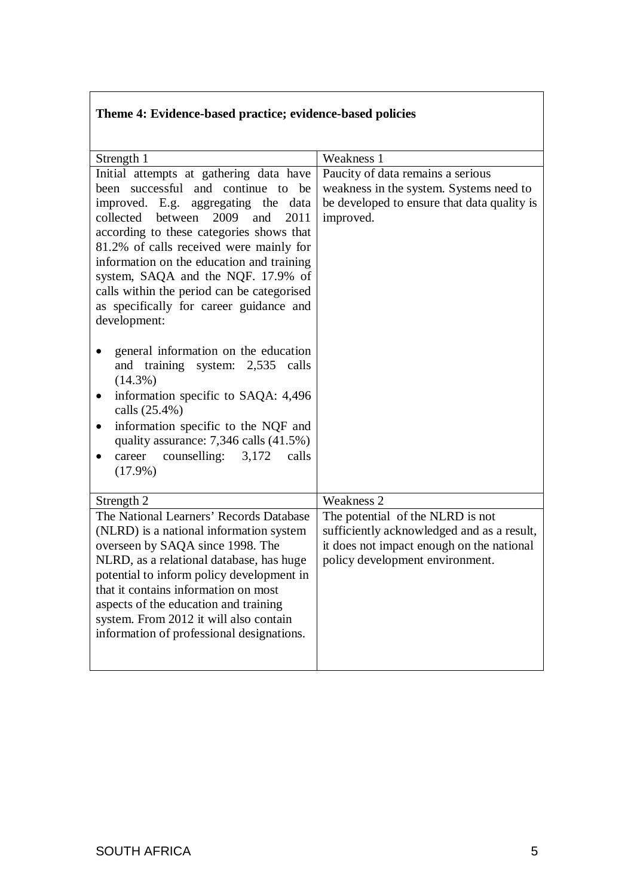## **Theme 4: Evidence-based practice; evidence-based policies**

| Strength 1                                                                                                                                                                                                                                                                                                                                                                                                                                                                                                                                                                                                                                                                                                                                                                                      | Weakness 1                                                                                                                                                     |
|-------------------------------------------------------------------------------------------------------------------------------------------------------------------------------------------------------------------------------------------------------------------------------------------------------------------------------------------------------------------------------------------------------------------------------------------------------------------------------------------------------------------------------------------------------------------------------------------------------------------------------------------------------------------------------------------------------------------------------------------------------------------------------------------------|----------------------------------------------------------------------------------------------------------------------------------------------------------------|
| Initial attempts at gathering data have<br>been successful and continue to be<br>improved. E.g. aggregating the data<br>collected between<br>2009<br>and<br>2011<br>according to these categories shows that<br>81.2% of calls received were mainly for<br>information on the education and training<br>system, SAQA and the NQF. 17.9% of<br>calls within the period can be categorised<br>as specifically for career guidance and<br>development:<br>general information on the education<br>and training system: 2,535<br>calls<br>$(14.3\%)$<br>information specific to SAQA: 4,496<br>$\bullet$<br>calls (25.4%)<br>information specific to the NQF and<br>$\bullet$<br>quality assurance: $7,346$ calls $(41.5\%)$<br>counselling:<br>career<br>3,172<br>calls<br>$\bullet$<br>$(17.9\%)$ | Paucity of data remains a serious<br>weakness in the system. Systems need to<br>be developed to ensure that data quality is<br>improved.                       |
| Strength 2                                                                                                                                                                                                                                                                                                                                                                                                                                                                                                                                                                                                                                                                                                                                                                                      | Weakness 2                                                                                                                                                     |
| The National Learners' Records Database<br>(NLRD) is a national information system<br>overseen by SAQA since 1998. The<br>NLRD, as a relational database, has huge<br>potential to inform policy development in<br>that it contains information on most<br>aspects of the education and training<br>system. From 2012 it will also contain<br>information of professional designations.                                                                                                                                                                                                                                                                                                                                                                                                         | The potential of the NLRD is not<br>sufficiently acknowledged and as a result,<br>it does not impact enough on the national<br>policy development environment. |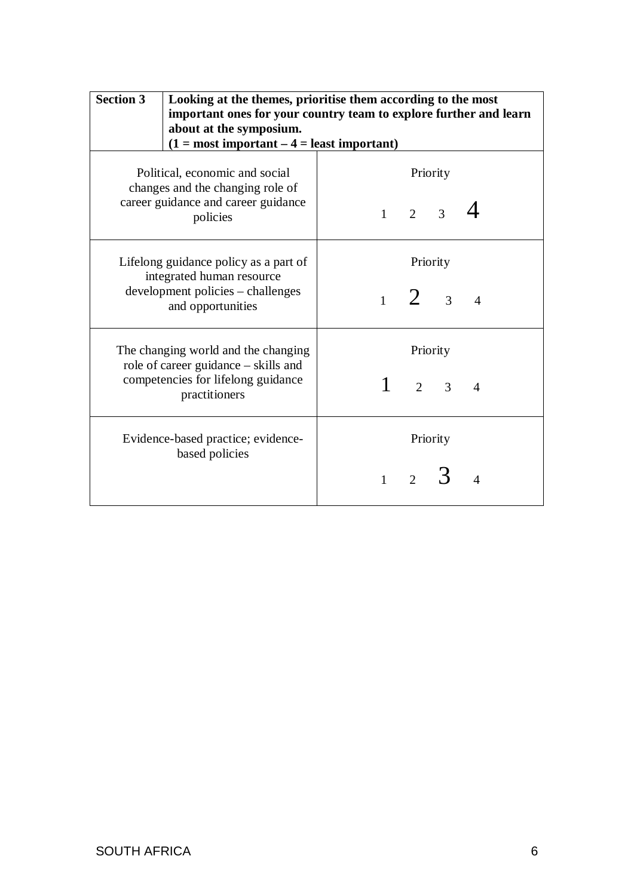| <b>Section 3</b>                                                                                                                   | Looking at the themes, prioritise them according to the most<br>important ones for your country team to explore further and learn<br>about at the symposium.<br>$(1 = most important – 4 = least important)$ |       |                     |                               |                        |
|------------------------------------------------------------------------------------------------------------------------------------|--------------------------------------------------------------------------------------------------------------------------------------------------------------------------------------------------------------|-------|---------------------|-------------------------------|------------------------|
| Political, economic and social<br>changes and the changing role of<br>career guidance and career guidance<br>policies              |                                                                                                                                                                                                              |       | $1 \quad 2 \quad 3$ | Priority                      |                        |
|                                                                                                                                    | Lifelong guidance policy as a part of<br>integrated human resource<br>development policies – challenges<br>and opportunities                                                                                 |       |                     | Priority<br>$1\quad 2\quad 3$ | $\overline{4}$         |
| The changing world and the changing<br>role of career guidance – skills and<br>competencies for lifelong guidance<br>practitioners |                                                                                                                                                                                                              |       |                     | Priority<br>$2 \quad 3$       | $\boldsymbol{\Lambda}$ |
|                                                                                                                                    | Evidence-based practice; evidence-<br>based policies                                                                                                                                                         | $1 -$ | $2^{\circ}$         | Priority                      |                        |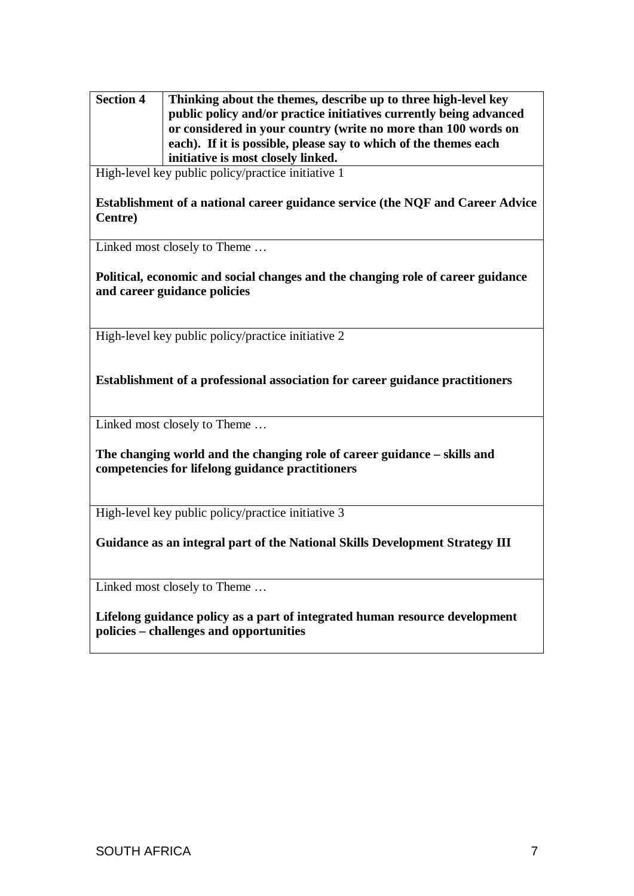**Section 4 Thinking about the themes, describe up to three high-level key public policy and/or practice initiatives currently being advanced or considered in your country (write no more than 100 words on each). If it is possible, please say to which of the themes each initiative is most closely linked.** 

High-level key public policy/practice initiative 1

**Establishment of a national career guidance service (the NQF and Career Advice Centre)**

Linked most closely to Theme …

**Political, economic and social changes and the changing role of career guidance and career guidance policies**

High-level key public policy/practice initiative 2

**Establishment of a professional association for career guidance practitioners** 

Linked most closely to Theme …

**The changing world and the changing role of career guidance – skills and competencies for lifelong guidance practitioners**

High-level key public policy/practice initiative 3

**Guidance as an integral part of the National Skills Development Strategy III**

Linked most closely to Theme …

**Lifelong guidance policy as a part of integrated human resource development policies – challenges and opportunities**